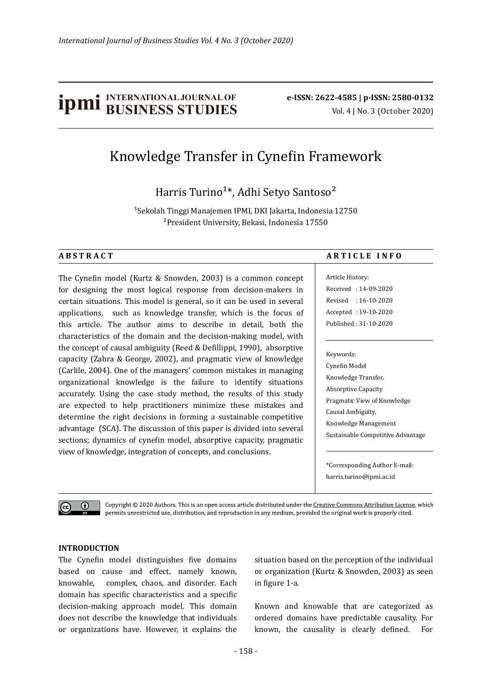# **ipmi** BUSINESS STUDIES **b**e-ISSN: 2622-4585 | p-ISSN: 2580-0132

# Knowledge Transfer in Cyne�in Framework

Harris Turino<sup>1\*</sup>, Adhi Setyo Santoso<sup>2</sup>

<sup>1</sup> Sekolah Tinggi Manajemen IPMI, DKI Jakarta, Indonesia 12750 ²President University, Bekasi, Indonesia 17550

The Cyne�in model (Kurtz & Snowden, 2003) is a common concept for designing the most logical response from decision-makers in certain situations. This model is general, so it can be used in several applications, such as knowledge transfer, which is the focus of this article. The author aims to describe in detail, both the characteristics of the domain and the decision-making model, with the concept of causal ambiguity (Reed & Defillippi, 1990), absorptive capacity (Zahra & George, 2002), and pragmatic view of knowledge (Carlile, 2004). One of the managers' common mistakes in managing organizational knowledge is the failure to identify situations accurately. Using the case study method, the results of this study are expected to help practitioners minimize these mistakes and determine the right decisions in forming a sustainable competitive advantage (SCA). The discussion of this paper is divided into several sections; dynamics of cynefin model, absorptive capacity, pragmatic view of knowledge, integration of concepts, and conclusions.

#### **A B S T R A C T A R T I C L E I N F O**

Article History: Received : 14-09-2020 Revised : 16-10-2020 Accepted : 19-10-2020 Published : 31-10-2020

#### Keywords:

Cyne�in Model Knowledge Transfer, Absorptive Capacity Pragmatic View of Knowledge Causal Ambiguity, Knowledge Management Sustainable Competitive Advantage

\*Corresponding Author E-mail: harris.turino@ipmi.ac.id

 $\bigcirc$ (cc)

Copyright © 2020 Authors. This is an open access article distributed under the Creative Commons Attribution License, which permits unrestricted use, distribution, and reproduction in any medium, provided the original work is properly cited.

#### **INTRODUCTION**

The Cynefin model distinguishes five domains based on cause and effect, namely known, knowable, complex, chaos, and disorder. Each domain has specific characteristics and a specific decision-making approach model. This domain does not describe the knowledge that individuals or organizations have. However, it explains the situation based on the perception of the individual or organization (Kurtz & Snowden, 2003) as seen in figure 1-a.

Known and knowable that are categorized as ordered domains have predictable causality. For known, the causality is clearly de�ined. For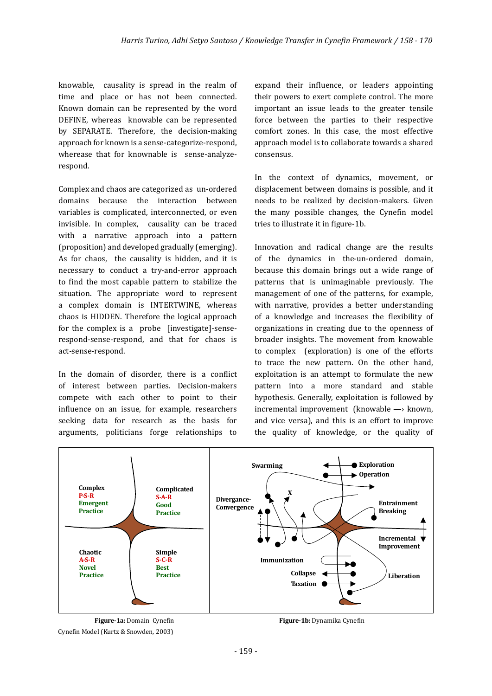knowable, causality is spread in the realm of time and place or has not been connected. Known domain can be represented by the word DEFINE, whereas knowable can be represented by SEPARATE. Therefore, the decision-making approach for known is a sense-categorize-respond, wherease that for knownable is sense-analyzerespond.

Complex and chaos are categorized as un-ordered domains because the interaction between variables is complicated, interconnected, or even invisible. In complex, causality can be traced with a narrative approach into a pattern (proposition) and developed gradually (emerging). As for chaos, the causality is hidden, and it is necessary to conduct a try-and-error approach to find the most capable pattern to stabilize the situation. The appropriate word to represent a complex domain is INTERTWINE, whereas chaos is HIDDEN. Therefore the logical approach for the complex is a probe [investigate]-senserespond-sense-respond, and that for chaos is act-sense-respond.

In the domain of disorder, there is a conflict of interest between parties. Decision-makers compete with each other to point to their influence on an issue, for example, researchers seeking data for research as the basis for arguments, politicians forge relationships to expand their influence, or leaders appointing their powers to exert complete control. The more important an issue leads to the greater tensile force between the parties to their respective comfort zones. In this case, the most effective approach model is to collaborate towards a shared consensus.

In the context of dynamics, movement, or displacement between domains is possible, and it needs to be realized by decision-makers. Given the many possible changes, the Cynefin model tries to illustrate it in figure-1b.

Innovation and radical change are the results of the dynamics in the-un-ordered domain, because this domain brings out a wide range of patterns that is unimaginable previously. The management of one of the patterns, for example, with narrative, provides a better understanding of a knowledge and increases the flexibility of organizations in creating due to the openness of broader insights. The movement from knowable to complex (exploration) is one of the efforts to trace the new pattern. On the other hand, exploitation is an attempt to formulate the new pattern into a more standard and stable hypothesis. Generally, exploitation is followed by incremental improvement (knowable —› known, and vice versa), and this is an effort to improve the quality of knowledge, or the quality of



Cynefin Model (Kurtz & Snowden, 2003)

**Figure-1a:** Domain Cynefin **Figure-1b:** Dynamika Cynefin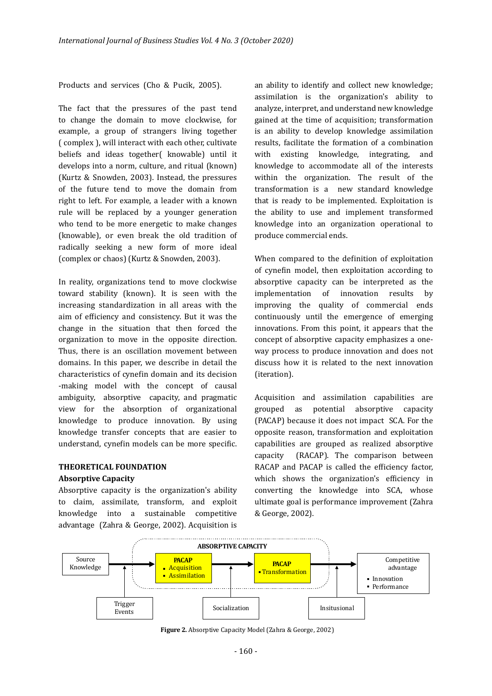Products and services (Cho & Pucik, 2005).

The fact that the pressures of the past tend to change the domain to move clockwise, for example, a group of strangers living together ( complex ), will interact with each other, cultivate beliefs and ideas together( knowable) until it develops into a norm, culture, and ritual (known) (Kurtz & Snowden, 2003). Instead, the pressures of the future tend to move the domain from right to left. For example, a leader with a known rule will be replaced by a younger generation who tend to be more energetic to make changes (knowable), or even break the old tradition of radically seeking a new form of more ideal (complex or chaos) (Kurtz & Snowden, 2003).

In reality, organizations tend to move clockwise toward stability (known). It is seen with the increasing standardization in all areas with the aim of efficiency and consistency. But it was the change in the situation that then forced the organization to move in the opposite direction. Thus, there is an oscillation movement between domains. In this paper, we describe in detail the characteristics of cyne�in domain and its decision -making model with the concept of causal ambiguity, absorptive capacity, and pragmatic view for the absorption of organizational knowledge to produce innovation. By using knowledge transfer concepts that are easier to understand, cynefin models can be more specific.

## **THEORETICAL FOUNDATION**

#### **Absorptive Capacity**

Absorptive capacity is the organization's ability to claim, assimilate, transform, and exploit knowledge into a sustainable competitive advantage (Zahra & George, 2002). Acquisition is an ability to identify and collect new knowledge; assimilation is the organization's ability to analyze, interpret, and understand new knowledge gained at the time of acquisition; transformation is an ability to develop knowledge assimilation results, facilitate the formation of a combination with existing knowledge, integrating, and knowledge to accommodate all of the interests within the organization. The result of the transformation is a new standard knowledge that is ready to be implemented. Exploitation is the ability to use and implement transformed knowledge into an organization operational to produce commercial ends.

When compared to the definition of exploitation of cynefin model, then exploitation according to absorptive capacity can be interpreted as the implementation of innovation results by improving the quality of commercial ends continuously until the emergence of emerging innovations. From this point, it appears that the concept of absorptive capacity emphasizes a oneway process to produce innovation and does not discuss how it is related to the next innovation (iteration).

Acquisition and assimilation capabilities are grouped as potential absorptive capacity (PACAP) because it does not impact SCA. For the opposite reason, transformation and exploitation capabilities are grouped as realized absorptive capacity (RACAP). The comparison between RACAP and PACAP is called the efficiency factor, which shows the organization's efficiency in converting the knowledge into SCA, whose ultimate goal is performance improvement (Zahra & George, 2002).



**Figure 2.** Absorptive Capacity Model (Zahra & George, 2002)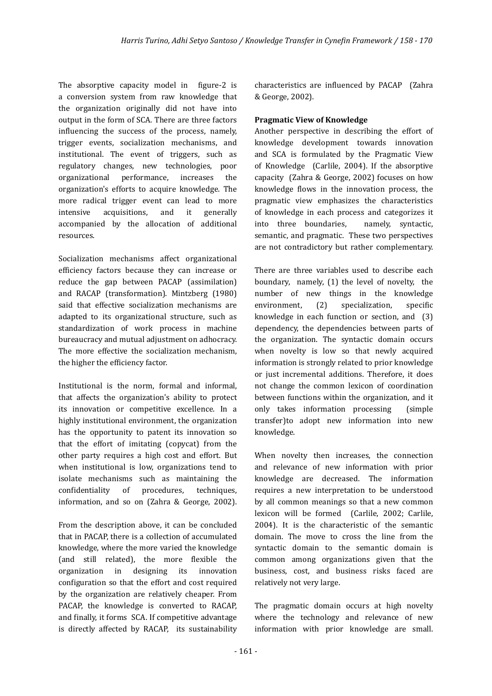The absorptive capacity model in figure-2 is a conversion system from raw knowledge that the organization originally did not have into output in the form of SCA. There are three factors influencing the success of the process, namely, trigger events, socialization mechanisms, and institutional. The event of triggers, such as regulatory changes, new technologies, poor organizational performance, increases the organization's efforts to acquire knowledge. The more radical trigger event can lead to more intensive acquisitions, and it generally accompanied by the allocation of additional resources.

Socialization mechanisms affect organizational efficiency factors because they can increase or reduce the gap between PACAP (assimilation) and RACAP (transformation). Mintzberg (1980) said that effective socialization mechanisms are adapted to its organizational structure, such as standardization of work process in machine bureaucracy and mutual adjustment on adhocracy. The more effective the socialization mechanism, the higher the efficiency factor.

Institutional is the norm, formal and informal, that affects the organization's ability to protect its innovation or competitive excellence. In a highly institutional environment, the organization has the opportunity to patent its innovation so that the effort of imitating (copycat) from the other party requires a high cost and effort. But when institutional is low, organizations tend to isolate mechanisms such as maintaining the confidentiality of procedures, techniques, information, and so on (Zahra & George, 2002).

From the description above, it can be concluded that in PACAP, there is a collection of accumulated knowledge, where the more varied the knowledge (and still related), the more flexible the organization in designing its innovation configuration so that the effort and cost required by the organization are relatively cheaper. From PACAP, the knowledge is converted to RACAP, and finally, it forms SCA. If competitive advantage is directly affected by RACAP, its sustainability

characteristics are influenced by PACAP (Zahra & George, 2002).

#### **Pragmatic View of Knowledge**

Another perspective in describing the effort of knowledge development towards innovation and SCA is formulated by the Pragmatic View of Knowledge (Carlile, 2004). If the absorptive capacity (Zahra & George, 2002) focuses on how knowledge flows in the innovation process, the pragmatic view emphasizes the characteristics of knowledge in each process and categorizes it into three boundaries, namely, syntactic, semantic, and pragmatic. These two perspectives are not contradictory but rather complementary.

There are three variables used to describe each boundary, namely, (1) the level of novelty, the number of new things in the knowledge environment, (2) specialization, specific knowledge in each function or section, and (3) dependency, the dependencies between parts of the organization. The syntactic domain occurs when novelty is low so that newly acquired information is strongly related to prior knowledge or just incremental additions. Therefore, it does not change the common lexicon of coordination between functions within the organization, and it only takes information processing (simple transfer)to adopt new information into new knowledge.

When novelty then increases, the connection and relevance of new information with prior knowledge are decreased. The information requires a new interpretation to be understood by all common meanings so that a new common lexicon will be formed (Carlile, 2002; Carlile, 2004). It is the characteristic of the semantic domain. The move to cross the line from the syntactic domain to the semantic domain is common among organizations given that the business, cost, and business risks faced are relatively not very large.

The pragmatic domain occurs at high novelty where the technology and relevance of new information with prior knowledge are small.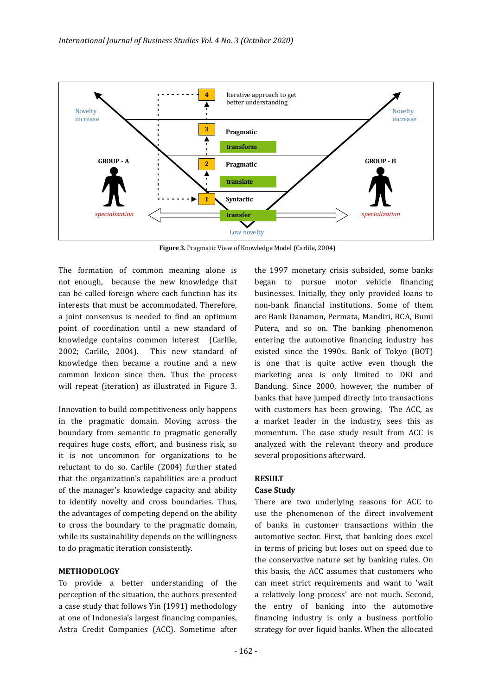

**Figure 3.** Pragmatic View of Knowledge Model (Carlile, 2004)

The formation of common meaning alone is not enough, because the new knowledge that can be called foreign where each function has its interests that must be accommodated. Therefore, a joint consensus is needed to �ind an optimum point of coordination until a new standard of knowledge contains common interest (Carlile, 2002; Carlile, 2004). This new standard of knowledge then became a routine and a new common lexicon since then. Thus the process will repeat (iteration) as illustrated in Figure 3.

Innovation to build competitiveness only happens in the pragmatic domain. Moving across the boundary from semantic to pragmatic generally requires huge costs, effort, and business risk, so it is not uncommon for organizations to be reluctant to do so. Carlile (2004) further stated that the organization's capabilities are a product of the manager's knowledge capacity and ability to identify novelty and cross boundaries. Thus, the advantages of competing depend on the ability to cross the boundary to the pragmatic domain, while its sustainability depends on the willingness to do pragmatic iteration consistently.

#### **METHODOLOGY**

To provide a better understanding of the perception of the situation, the authors presented a case study that follows Yin (1991) methodology at one of Indonesia's largest financing companies, Astra Credit Companies (ACC). Sometime after

the 1997 monetary crisis subsided, some banks began to pursue motor vehicle financing businesses. Initially, they only provided loans to non-bank �inancial institutions. Some of them are Bank Danamon, Permata, Mandiri, BCA, Bumi Putera, and so on. The banking phenomenon entering the automotive financing industry has existed since the 1990s. Bank of Tokyo (BOT) is one that is quite active even though the marketing area is only limited to DKI and Bandung. Since 2000, however, the number of banks that have jumped directly into transactions with customers has been growing. The ACC, as a market leader in the industry, sees this as momentum. The case study result from ACC is analyzed with the relevant theory and produce several propositions afterward.

### **RESULT**

#### **Case Study**

There are two underlying reasons for ACC to use the phenomenon of the direct involvement of banks in customer transactions within the automotive sector. First, that banking does excel in terms of pricing but loses out on speed due to the conservative nature set by banking rules. On this basis, the ACC assumes that customers who can meet strict requirements and want to 'wait a relatively long process' are not much. Second, the entry of banking into the automotive financing industry is only a business portfolio strategy for over liquid banks. When the allocated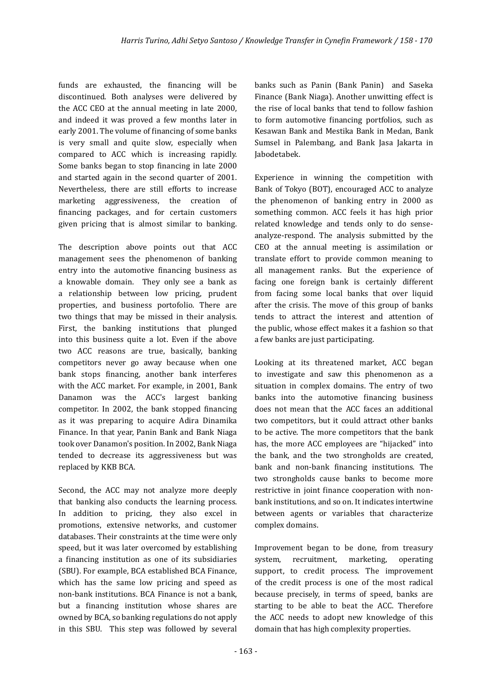funds are exhausted, the financing will be discontinued. Both analyses were delivered by the ACC CEO at the annual meeting in late 2000, and indeed it was proved a few months later in early 2001. The volume of financing of some banks is very small and quite slow, especially when compared to ACC which is increasing rapidly. Some banks began to stop financing in late 2000 and started again in the second quarter of 2001. Nevertheless, there are still efforts to increase marketing aggressiveness, the creation of financing packages, and for certain customers given pricing that is almost similar to banking.

The description above points out that ACC management sees the phenomenon of banking entry into the automotive financing business as a knowable domain. They only see a bank as a relationship between low pricing, prudent properties, and business portofolio. There are two things that may be missed in their analysis. First, the banking institutions that plunged into this business quite a lot. Even if the above two ACC reasons are true, basically, banking competitors never go away because when one bank stops financing, another bank interferes with the ACC market. For example, in 2001, Bank Danamon was the ACC's largest banking competitor. In 2002, the bank stopped financing as it was preparing to acquire Adira Dinamika Finance. In that year, Panin Bank and Bank Niaga took over Danamon's position. In 2002, Bank Niaga tended to decrease its aggressiveness but was replaced by KKB BCA.

Second, the ACC may not analyze more deeply that banking also conducts the learning process. In addition to pricing, they also excel in promotions, extensive networks, and customer databases. Their constraints at the time were only speed, but it was later overcomed by establishing a financing institution as one of its subsidiaries (SBU). For example, BCA established BCA Finance, which has the same low pricing and speed as non-bank institutions. BCA Finance is not a bank, but a financing institution whose shares are owned by BCA, so banking regulations do not apply in this SBU. This step was followed by several

banks such as Panin (Bank Panin) and Saseka Finance (Bank Niaga). Another unwitting effect is the rise of local banks that tend to follow fashion to form automotive financing portfolios, such as Kesawan Bank and Mestika Bank in Medan, Bank Sumsel in Palembang, and Bank Jasa Jakarta in Jabodetabek.

Experience in winning the competition with Bank of Tokyo (BOT), encouraged ACC to analyze the phenomenon of banking entry in 2000 as something common. ACC feels it has high prior related knowledge and tends only to do senseanalyze-respond. The analysis submitted by the CEO at the annual meeting is assimilation or translate effort to provide common meaning to all management ranks. But the experience of facing one foreign bank is certainly different from facing some local banks that over liquid after the crisis. The move of this group of banks tends to attract the interest and attention of the public, whose effect makes it a fashion so that a few banks are just participating.

Looking at its threatened market, ACC began to investigate and saw this phenomenon as a situation in complex domains. The entry of two banks into the automotive financing business does not mean that the ACC faces an additional two competitors, but it could attract other banks to be active. The more competitors that the bank has, the more ACC employees are "hijacked" into the bank, and the two strongholds are created, bank and non-bank financing institutions. The two strongholds cause banks to become more restrictive in joint finance cooperation with nonbank institutions, and so on. It indicates intertwine between agents or variables that characterize complex domains.

Improvement began to be done, from treasury system, recruitment, marketing, operating support, to credit process. The improvement of the credit process is one of the most radical because precisely, in terms of speed, banks are starting to be able to beat the ACC. Therefore the ACC needs to adopt new knowledge of this domain that has high complexity properties.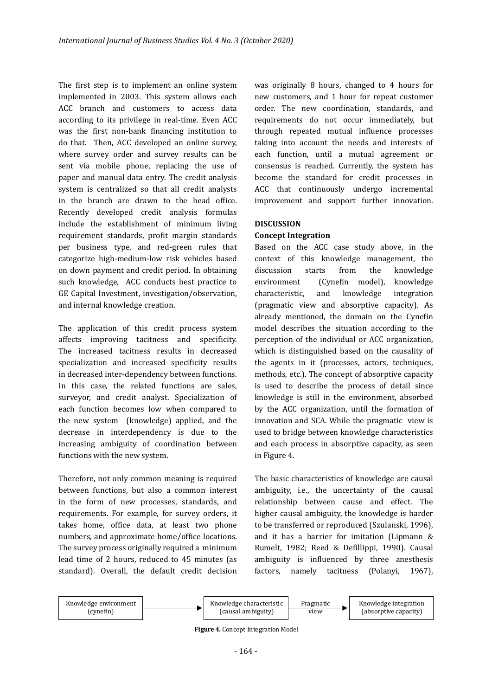The first step is to implement an online system implemented in 2003. This system allows each ACC branch and customers to access data according to its privilege in real-time. Even ACC was the first non-bank financing institution to do that. Then, ACC developed an online survey, where survey order and survey results can be sent via mobile phone, replacing the use of paper and manual data entry. The credit analysis system is centralized so that all credit analysts in the branch are drawn to the head office. Recently developed credit analysis formulas include the establishment of minimum living requirement standards, pro�it margin standards per business type, and red-green rules that categorize high-medium-low risk vehicles based on down payment and credit period. In obtaining such knowledge, ACC conducts best practice to GE Capital Investment, investigation/observation, and internal knowledge creation.

The application of this credit process system affects improving tacitness and specificity. The increased tacitness results in decreased specialization and increased specificity results in decreased inter-dependency between functions. In this case, the related functions are sales, surveyor, and credit analyst. Specialization of each function becomes low when compared to the new system (knowledge) applied, and the decrease in interdependency is due to the increasing ambiguity of coordination between functions with the new system.

Therefore, not only common meaning is required between functions, but also a common interest in the form of new processes, standards, and requirements. For example, for survey orders, it takes home, office data, at least two phone numbers, and approximate home/office locations. The survey process originally required a minimum lead time of 2 hours, reduced to 45 minutes (as standard). Overall, the default credit decision was originally 8 hours, changed to 4 hours for new customers, and 1 hour for repeat customer order. The new coordination, standards, and requirements do not occur immediately, but through repeated mutual influence processes taking into account the needs and interests of each function, until a mutual agreement or consensus is reached. Currently, the system has become the standard for credit processes in ACC that continuously undergo incremental improvement and support further innovation.

#### **DISCUSSION**

#### **Concept Integration**

Based on the ACC case study above, in the context of this knowledge management, the discussion starts from the knowledge environment (Cynefin model), knowledge characteristic, and knowledge integration (pragmatic view and absorptive capacity). As already mentioned, the domain on the Cynefin model describes the situation according to the perception of the individual or ACC organization, which is distinguished based on the causality of the agents in it (processes, actors, techniques, methods, etc.). The concept of absorptive capacity is used to describe the process of detail since knowledge is still in the environment, absorbed by the ACC organization, until the formation of innovation and SCA. While the pragmatic view is used to bridge between knowledge characteristics and each process in absorptive capacity, as seen in Figure 4.

The basic characteristics of knowledge are causal ambiguity, i.e., the uncertainty of the causal relationship between cause and effect. The higher causal ambiguity, the knowledge is harder to be transferred or reproduced (Szulanski, 1996), and it has a barrier for imitation (Lipmann & Rumelt, 1982; Reed & De�illippi, 1990). Causal ambiguity is influenced by three anesthesis factors, namely tacitness (Polanyi, 1967),



**Figure 4.** Concept Integration Model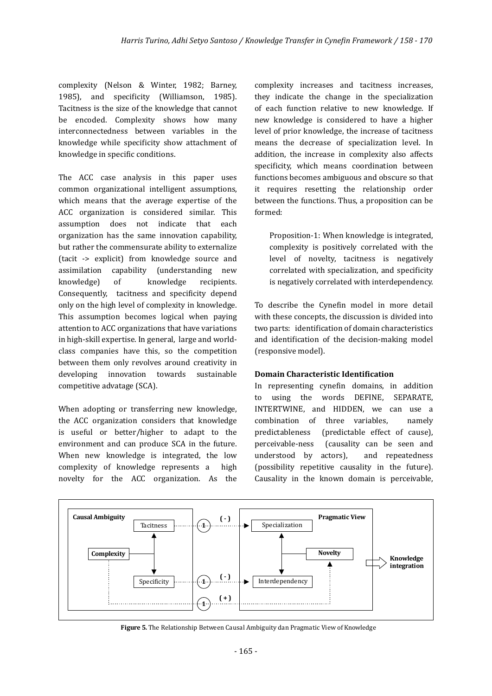complexity (Nelson & Winter, 1982; Barney, 1985), and speci�icity (Williamson, 1985). Tacitness is the size of the knowledge that cannot be encoded. Complexity shows how many interconnectedness between variables in the knowledge while specificity show attachment of knowledge in specific conditions.

The ACC case analysis in this paper uses common organizational intelligent assumptions, which means that the average expertise of the ACC organization is considered similar. This assumption does not indicate that each organization has the same innovation capability, but rather the commensurate ability to externalize (tacit -> explicit) from knowledge source and assimilation capability (understanding new knowledge) of knowledge recipients. Consequently, tacitness and speci�icity depend only on the high level of complexity in knowledge. This assumption becomes logical when paying attention to ACC organizations that have variations in high-skill expertise. In general, large and worldclass companies have this, so the competition between them only revolves around creativity in developing innovation towards sustainable competitive advatage (SCA).

When adopting or transferring new knowledge, the ACC organization considers that knowledge is useful or better/higher to adapt to the environment and can produce SCA in the future. When new knowledge is integrated, the low complexity of knowledge represents a high novelty for the ACC organization. As the complexity increases and tacitness increases, they indicate the change in the specialization of each function relative to new knowledge. If new knowledge is considered to have a higher level of prior knowledge, the increase of tacitness means the decrease of specialization level. In addition, the increase in complexity also affects specificity, which means coordination between functions becomes ambiguous and obscure so that it requires resetting the relationship order between the functions. Thus, a proposition can be formed:

Proposition-1: When knowledge is integrated, complexity is positively correlated with the level of novelty, tacitness is negatively correlated with specialization, and specificity is negatively correlated with interdependency.

To describe the Cynefin model in more detail with these concepts, the discussion is divided into two parts: identification of domain characteristics and identification of the decision-making model (responsive model).

### **Domain Characteristic Identi�ication**

In representing cynefin domains, in addition to using the words DEFINE, SEPARATE, INTERTWINE, and HIDDEN, we can use a combination of three variables, namely predictableness (predictable effect of cause), perceivable-ness (causality can be seen and understood by actors), and repeatedness (possibility repetitive causality in the future). Causality in the known domain is perceivable,



**Figure 5.** The Relationship Between Causal Ambiguity dan Pragmatic View of Knowledge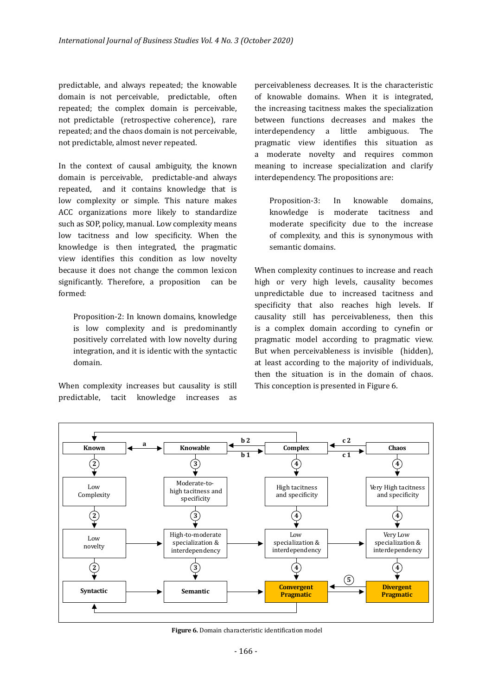predictable, and always repeated; the knowable domain is not perceivable, predictable, often repeated; the complex domain is perceivable, not predictable (retrospective coherence), rare repeated; and the chaos domain is not perceivable, not predictable, almost never repeated.

In the context of causal ambiguity, the known domain is perceivable, predictable-and always repeated, and it contains knowledge that is low complexity or simple. This nature makes ACC organizations more likely to standardize such as SOP, policy, manual. Low complexity means low tacitness and low specificity. When the knowledge is then integrated, the pragmatic view identifies this condition as low novelty because it does not change the common lexicon significantly. Therefore, a proposition can be formed:

Proposition-2: In known domains, knowledge is low complexity and is predominantly positively correlated with low novelty during integration, and it is identic with the syntactic domain.

When complexity increases but causality is still predictable, tacit knowledge increases as

perceivableness decreases. It is the characteristic of knowable domains. When it is integrated, the increasing tacitness makes the specialization between functions decreases and makes the interdependency a little ambiguous. The pragmatic view identi�ies this situation as a moderate novelty and requires common meaning to increase specialization and clarify interdependency. The propositions are:

Proposition-3: In knowable domains, knowledge is moderate tacitness and moderate specificity due to the increase of complexity, and this is synonymous with semantic domains.

When complexity continues to increase and reach high or very high levels, causality becomes unpredictable due to increased tacitness and specificity that also reaches high levels. If causality still has perceivableness, then this is a complex domain according to cynefin or pragmatic model according to pragmatic view. But when perceivableness is invisible (hidden), at least according to the majority of individuals, then the situation is in the domain of chaos. This conception is presented in Figure 6.



**Figure 6.** Domain characteristic identification model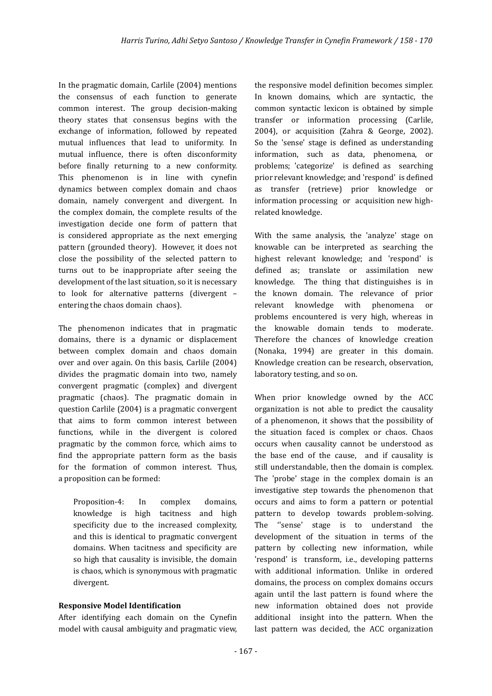In the pragmatic domain, Carlile (2004) mentions the consensus of each function to generate common interest. The group decision-making theory states that consensus begins with the exchange of information, followed by repeated mutual influences that lead to uniformity. In mutual influence, there is often disconformity before finally returning to a new conformity. This phenomenon is in line with cynefin dynamics between complex domain and chaos domain, namely convergent and divergent. In the complex domain, the complete results of the investigation decide one form of pattern that is considered appropriate as the next emerging pattern (grounded theory). However, it does not close the possibility of the selected pattern to turns out to be inappropriate after seeing the development of the last situation, so it is necessary to look for alternative patterns (divergent – entering the chaos domain chaos).

The phenomenon indicates that in pragmatic domains, there is a dynamic or displacement between complex domain and chaos domain over and over again. On this basis, Carlile (2004) divides the pragmatic domain into two, namely convergent pragmatic (complex) and divergent pragmatic (chaos). The pragmatic domain in question Carlile (2004) is a pragmatic convergent that aims to form common interest between functions, while in the divergent is colored pragmatic by the common force, which aims to find the appropriate pattern form as the basis for the formation of common interest. Thus, a proposition can be formed:

Proposition-4: In complex domains, knowledge is high tacitness and high specificity due to the increased complexity, and this is identical to pragmatic convergent domains. When tacitness and specificity are so high that causality is invisible, the domain is chaos, which is synonymous with pragmatic divergent.

#### **Responsive Model Identi�ication**

After identifying each domain on the Cynefin model with causal ambiguity and pragmatic view, the responsive model definition becomes simpler. In known domains, which are syntactic, the common syntactic lexicon is obtained by simple transfer or information processing (Carlile, 2004), or acquisition (Zahra & George, 2002). So the 'sense' stage is defined as understanding information, such as data, phenomena, or problems; 'categorize' is defined as searching prior relevant knowledge; and 'respond' is defined as transfer (retrieve) prior knowledge or information processing or acquisition new highrelated knowledge.

With the same analysis, the 'analyze' stage on knowable can be interpreted as searching the highest relevant knowledge; and 'respond' is defined as; translate or assimilation new knowledge. The thing that distinguishes is in the known domain. The relevance of prior relevant knowledge with phenomena or problems encountered is very high, whereas in the knowable domain tends to moderate. Therefore the chances of knowledge creation (Nonaka, 1994) are greater in this domain. Knowledge creation can be research, observation, laboratory testing, and so on.

When prior knowledge owned by the ACC organization is not able to predict the causality of a phenomenon, it shows that the possibility of the situation faced is complex or chaos. Chaos occurs when causality cannot be understood as the base end of the cause, and if causality is still understandable, then the domain is complex. The 'probe' stage in the complex domain is an investigative step towards the phenomenon that occurs and aims to form a pattern or potential pattern to develop towards problem-solving. The ''sense' stage is to understand the development of the situation in terms of the pattern by collecting new information, while 'respond' is transform, i.e., developing patterns with additional information. Unlike in ordered domains, the process on complex domains occurs again until the last pattern is found where the new information obtained does not provide additional insight into the pattern. When the last pattern was decided, the ACC organization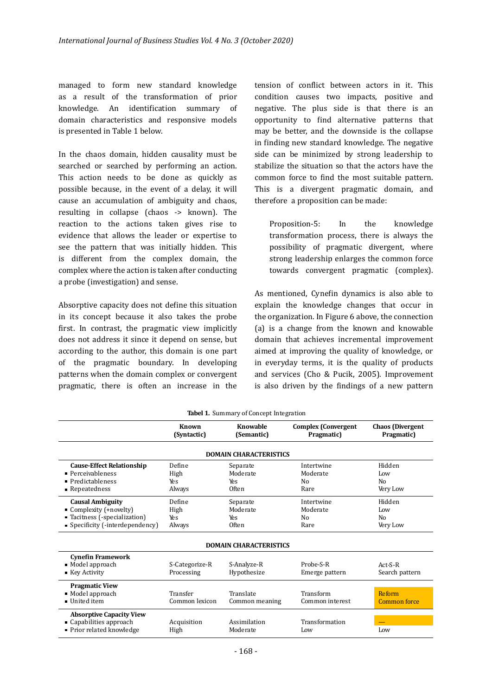managed to form new standard knowledge as a result of the transformation of prior knowledge. An identi�ication summary of domain characteristics and responsive models is presented in Table 1 below.

In the chaos domain, hidden causality must be searched or searched by performing an action. This action needs to be done as quickly as possible because, in the event of a delay, it will cause an accumulation of ambiguity and chaos, resulting in collapse (chaos -> known). The reaction to the actions taken gives rise to evidence that allows the leader or expertise to see the pattern that was initially hidden. This is different from the complex domain, the complex where the action is taken after conducting a probe (investigation) and sense.

Absorptive capacity does not define this situation in its concept because it also takes the probe first. In contrast, the pragmatic view implicitly does not address it since it depend on sense, but according to the author, this domain is one part of the pragmatic boundary. In developing patterns when the domain complex or convergent pragmatic, there is often an increase in the

tension of conflict between actors in it. This condition causes two impacts, positive and negative. The plus side is that there is an opportunity to �ind alternative patterns that may be better, and the downside is the collapse in finding new standard knowledge. The negative side can be minimized by strong leadership to stabilize the situation so that the actors have the common force to �ind the most suitable pattern. This is a divergent pragmatic domain, and therefore a proposition can be made:

Proposition-5: In the knowledge transformation process, there is always the possibility of pragmatic divergent, where strong leadership enlarges the common force towards convergent pragmatic (complex).

As mentioned, Cynefin dynamics is also able to explain the knowledge changes that occur in the organization. In Figure 6 above, the connection (a) is a change from the known and knowable domain that achieves incremental improvement aimed at improving the quality of knowledge, or in everyday terms, it is the quality of products and services (Cho & Pucik, 2005). Improvement is also driven by the �indings of a new pattern

|                                  | <b>Known</b><br>(Syntactic) | Knowable<br>(Semantic)        | <b>Complex (Convergent</b><br>Pragmatic) | <b>Chaos</b> (Divergent<br>Pragmatic) |
|----------------------------------|-----------------------------|-------------------------------|------------------------------------------|---------------------------------------|
|                                  |                             | <b>DOMAIN CHARACTERISTICS</b> |                                          |                                       |
| <b>Cause-Effect Relationship</b> | Define                      | Separate                      | Intertwine                               | Hidden                                |
| $\blacksquare$ Perceivableness   | High                        | Moderate                      | Moderate                                 | Low                                   |
| • Predictableness                | Yes                         | Yes                           | N <sub>0</sub>                           | No                                    |
| • Repeatedness                   | Always                      | <b>Often</b>                  | Rare                                     | Very Low                              |
| <b>Causal Ambiguity</b>          | Define                      | Separate                      | Intertwine                               | Hidden                                |
| Complexity (+novelty)            | High                        | Moderate                      | Moderate                                 | Low                                   |
| ■ Tacitness (-specialization)    | Yes                         | Yes                           | N <sub>0</sub>                           | N <sub>0</sub>                        |
| • Specificity (-interdependency) | Always                      | Often                         | Rare                                     | Very Low                              |
|                                  |                             | <b>DOMAIN CHARACTERISTICS</b> |                                          |                                       |
| <b>Cynefin Framework</b>         |                             |                               |                                          |                                       |
| $\blacksquare$ Model approach    | S-Categorize-R              | S-Analyze-R                   | Probe-S-R                                | $Act-S-R$                             |
| ■ Key Activity                   | Processing                  | Hypothesize                   | Emerge pattern                           | Search pattern                        |
| <b>Pragmatic View</b>            |                             |                               |                                          |                                       |
| $\blacksquare$ Model approach    | Transfer                    | Translate                     | Transform                                | <b>Reform</b>                         |
| • United item                    | Common lexicon              | Common meaning                | Common interest                          | <b>Common force</b>                   |
| <b>Absorptive Capacity View</b>  |                             |                               |                                          |                                       |
| • Capabilities approach          | Acquisition                 | Assimilation                  | Transformation                           |                                       |
| • Prior related knowledge        | High                        | Moderate                      | Low                                      | Low                                   |

**Tabel 1.** Summary of Concept Integration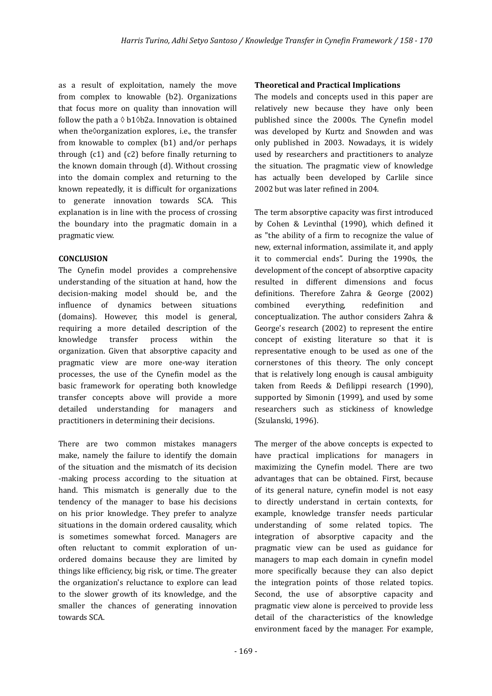as a result of exploitation, namely the move from complex to knowable (b2). Organizations that focus more on quality than innovation will follow the path a  $\Diamond$  b1 $\Diamond$ b2a. Innovation is obtained when the�organization explores, i.e., the transfer from knowable to complex (b1) and/or perhaps through  $(c1)$  and  $(c2)$  before finally returning to the known domain through (d). Without crossing into the domain complex and returning to the known repeatedly, it is difficult for organizations to generate innovation towards SCA. This explanation is in line with the process of crossing the boundary into the pragmatic domain in a pragmatic view.

#### **CONCLUSION**

The Cynefin model provides a comprehensive understanding of the situation at hand, how the decision-making model should be, and the influence of dynamics between situations (domains). However, this model is general, requiring a more detailed description of the knowledge transfer process within the organization. Given that absorptive capacity and pragmatic view are more one-way iteration processes, the use of the Cyne�in model as the basic framework for operating both knowledge transfer concepts above will provide a more detailed understanding for managers and practitioners in determining their decisions.

There are two common mistakes managers make, namely the failure to identify the domain of the situation and the mismatch of its decision -making process according to the situation at hand. This mismatch is generally due to the tendency of the manager to base his decisions on his prior knowledge. They prefer to analyze situations in the domain ordered causality, which is sometimes somewhat forced. Managers are often reluctant to commit exploration of unordered domains because they are limited by things like efficiency, big risk, or time. The greater the organization's reluctance to explore can lead to the slower growth of its knowledge, and the smaller the chances of generating innovation towards SCA.

#### **Theoretical and Practical Implications**

The models and concepts used in this paper are relatively new because they have only been published since the 2000s. The Cynefin model was developed by Kurtz and Snowden and was only published in 2003. Nowadays, it is widely used by researchers and practitioners to analyze the situation. The pragmatic view of knowledge has actually been developed by Carlile since 2002 but was later refined in 2004.

The term absorptive capacity was first introduced by Cohen & Levinthal (1990), which defined it as "the ability of a firm to recognize the value of new, external information, assimilate it, and apply it to commercial ends". During the 1990s, the development of the concept of absorptive capacity resulted in different dimensions and focus de�initions. Therefore Zahra & George (2002) combined everything, rede�inition and conceptualization. The author considers Zahra & George's research (2002) to represent the entire concept of existing literature so that it is representative enough to be used as one of the cornerstones of this theory. The only concept that is relatively long enough is causal ambiguity taken from Reeds & Defilippi research (1990), supported by Simonin (1999), and used by some researchers such as stickiness of knowledge (Szulanski, 1996).

The merger of the above concepts is expected to have practical implications for managers in maximizing the Cynefin model. There are two advantages that can be obtained. First, because of its general nature, cyne�in model is not easy to directly understand in certain contexts, for example, knowledge transfer needs particular understanding of some related topics. The integration of absorptive capacity and the pragmatic view can be used as guidance for managers to map each domain in cynefin model more specifically because they can also depict the integration points of those related topics. Second, the use of absorptive capacity and pragmatic view alone is perceived to provide less detail of the characteristics of the knowledge environment faced by the manager. For example,